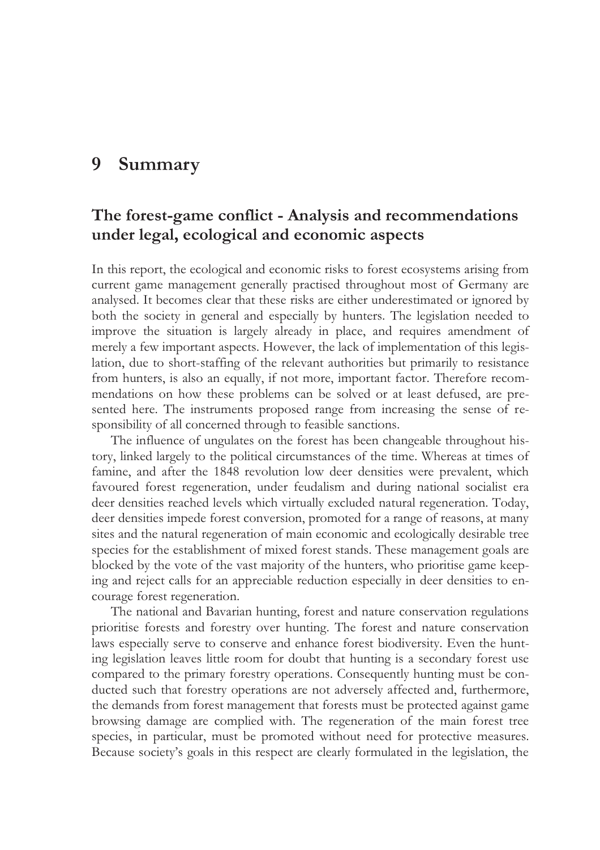## **9 Summary**

# **The forest-game conflict - Analysis and recommendations under legal, ecological and economic aspects**

In this report, the ecological and economic risks to forest ecosystems arising from current game management generally practised throughout most of Germany are analysed. It becomes clear that these risks are either underestimated or ignored by both the society in general and especially by hunters. The legislation needed to improve the situation is largely already in place, and requires amendment of merely a few important aspects. However, the lack of implementation of this legislation, due to short-staffing of the relevant authorities but primarily to resistance from hunters, is also an equally, if not more, important factor. Therefore recommendations on how these problems can be solved or at least defused, are presented here. The instruments proposed range from increasing the sense of responsibility of all concerned through to feasible sanctions.

The influence of ungulates on the forest has been changeable throughout history, linked largely to the political circumstances of the time. Whereas at times of famine, and after the 1848 revolution low deer densities were prevalent, which favoured forest regeneration, under feudalism and during national socialist era deer densities reached levels which virtually excluded natural regeneration. Today, deer densities impede forest conversion, promoted for a range of reasons, at many sites and the natural regeneration of main economic and ecologically desirable tree species for the establishment of mixed forest stands. These management goals are blocked by the vote of the vast majority of the hunters, who prioritise game keeping and reject calls for an appreciable reduction especially in deer densities to encourage forest regeneration.

The national and Bavarian hunting, forest and nature conservation regulations prioritise forests and forestry over hunting. The forest and nature conservation laws especially serve to conserve and enhance forest biodiversity. Even the hunting legislation leaves little room for doubt that hunting is a secondary forest use compared to the primary forestry operations. Consequently hunting must be conducted such that forestry operations are not adversely affected and, furthermore, the demands from forest management that forests must be protected against game browsing damage are complied with. The regeneration of the main forest tree species, in particular, must be promoted without need for protective measures. Because society's goals in this respect are clearly formulated in the legislation, the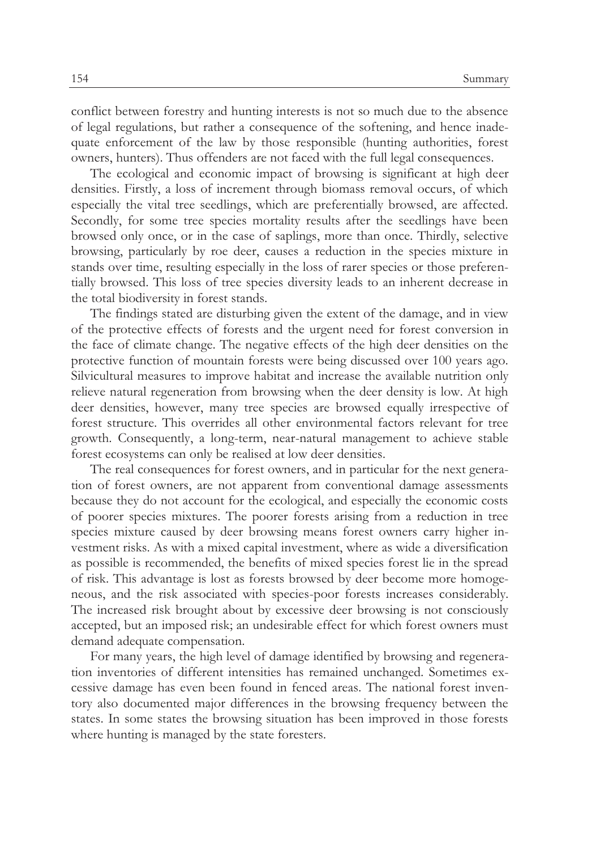conflict between forestry and hunting interests is not so much due to the absence of legal regulations, but rather a consequence of the softening, and hence inadequate enforcement of the law by those responsible (hunting authorities, forest owners, hunters). Thus offenders are not faced with the full legal consequences.

The ecological and economic impact of browsing is significant at high deer densities. Firstly, a loss of increment through biomass removal occurs, of which especially the vital tree seedlings, which are preferentially browsed, are affected. Secondly, for some tree species mortality results after the seedlings have been browsed only once, or in the case of saplings, more than once. Thirdly, selective browsing, particularly by roe deer, causes a reduction in the species mixture in stands over time, resulting especially in the loss of rarer species or those preferentially browsed. This loss of tree species diversity leads to an inherent decrease in the total biodiversity in forest stands.

The findings stated are disturbing given the extent of the damage, and in view of the protective effects of forests and the urgent need for forest conversion in the face of climate change. The negative effects of the high deer densities on the protective function of mountain forests were being discussed over 100 years ago. Silvicultural measures to improve habitat and increase the available nutrition only relieve natural regeneration from browsing when the deer density is low. At high deer densities, however, many tree species are browsed equally irrespective of forest structure. This overrides all other environmental factors relevant for tree growth. Consequently, a long-term, near-natural management to achieve stable forest ecosystems can only be realised at low deer densities.

The real consequences for forest owners, and in particular for the next generation of forest owners, are not apparent from conventional damage assessments because they do not account for the ecological, and especially the economic costs of poorer species mixtures. The poorer forests arising from a reduction in tree species mixture caused by deer browsing means forest owners carry higher investment risks. As with a mixed capital investment, where as wide a diversification as possible is recommended, the benefits of mixed species forest lie in the spread of risk. This advantage is lost as forests browsed by deer become more homogeneous, and the risk associated with species-poor forests increases considerably. The increased risk brought about by excessive deer browsing is not consciously accepted, but an imposed risk; an undesirable effect for which forest owners must demand adequate compensation.

For many years, the high level of damage identified by browsing and regeneration inventories of different intensities has remained unchanged. Sometimes excessive damage has even been found in fenced areas. The national forest inventory also documented major differences in the browsing frequency between the states. In some states the browsing situation has been improved in those forests where hunting is managed by the state foresters.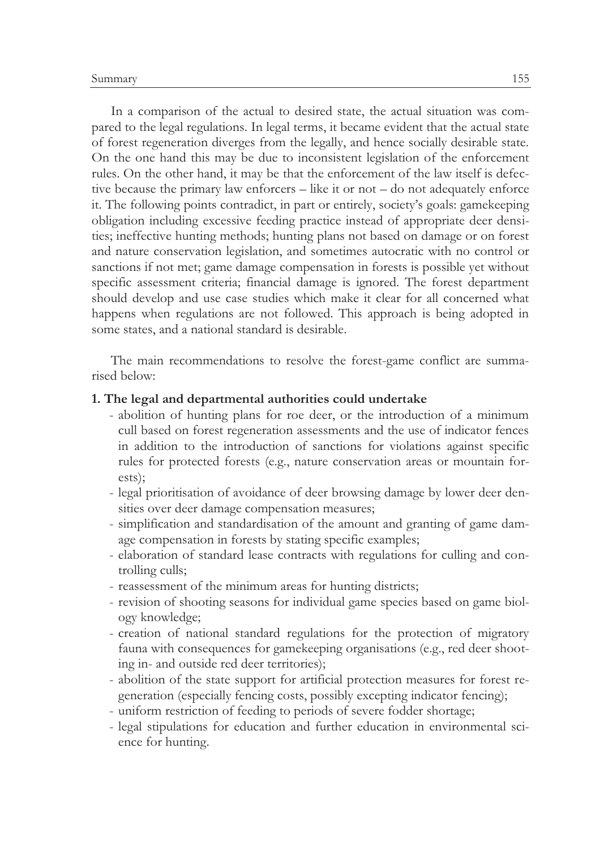In a comparison of the actual to desired state, the actual situation was compared to the legal regulations. In legal terms, it became evident that the actual state of forest regeneration diverges from the legally, and hence socially desirable state. On the one hand this may be due to inconsistent legislation of the enforcement rules. On the other hand, it may be that the enforcement of the law itself is defective because the primary law enforcers – like it or not – do not adequately enforce it. The following points contradict, in part or entirely, society's goals: gamekeeping obligation including excessive feeding practice instead of appropriate deer densities; ineffective hunting methods; hunting plans not based on damage or on forest and nature conservation legislation, and sometimes autocratic with no control or sanctions if not met; game damage compensation in forests is possible yet without specific assessment criteria; financial damage is ignored. The forest department should develop and use case studies which make it clear for all concerned what happens when regulations are not followed. This approach is being adopted in some states, and a national standard is desirable.

The main recommendations to resolve the forest-game conflict are summarised below:

#### **1. The legal and departmental authorities could undertake**

- abolition of hunting plans for roe deer, or the introduction of a minimum cull based on forest regeneration assessments and the use of indicator fences in addition to the introduction of sanctions for violations against specific rules for protected forests (e.g., nature conservation areas or mountain forests);
- legal prioritisation of avoidance of deer browsing damage by lower deer densities over deer damage compensation measures;
- simplification and standardisation of the amount and granting of game damage compensation in forests by stating specific examples;
- elaboration of standard lease contracts with regulations for culling and controlling culls;
- reassessment of the minimum areas for hunting districts;
- revision of shooting seasons for individual game species based on game biology knowledge;
- creation of national standard regulations for the protection of migratory fauna with consequences for gamekeeping organisations (e.g., red deer shooting in- and outside red deer territories);
- abolition of the state support for artificial protection measures for forest regeneration (especially fencing costs, possibly excepting indicator fencing);
- uniform restriction of feeding to periods of severe fodder shortage;
- legal stipulations for education and further education in environmental science for hunting.